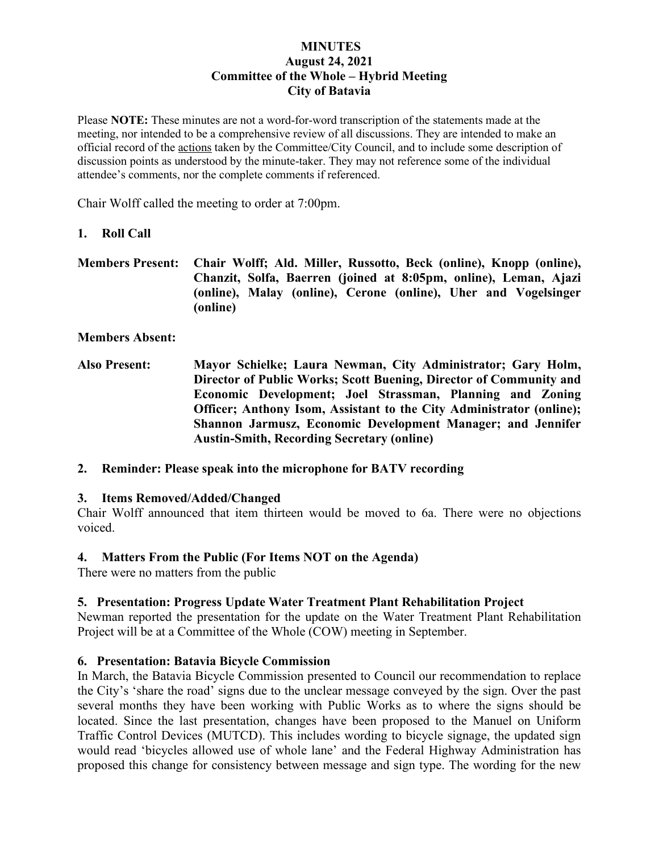#### **MINUTES August 24, 2021 Committee of the Whole – Hybrid Meeting City of Batavia**

Please **NOTE:** These minutes are not a word-for-word transcription of the statements made at the meeting, nor intended to be a comprehensive review of all discussions. They are intended to make an official record of the actions taken by the Committee/City Council, and to include some description of discussion points as understood by the minute-taker. They may not reference some of the individual attendee's comments, nor the complete comments if referenced.

Chair Wolff called the meeting to order at 7:00pm.

#### **1. Roll Call**

**Members Present: Chair Wolff; Ald. Miller, Russotto, Beck (online), Knopp (online), Chanzit, Solfa, Baerren (joined at 8:05pm, online), Leman, Ajazi (online), Malay (online), Cerone (online), Uher and Vogelsinger (online)**

**Members Absent:**

- **Also Present: Mayor Schielke; Laura Newman, City Administrator; Gary Holm, Director of Public Works; Scott Buening, Director of Community and Economic Development; Joel Strassman, Planning and Zoning Officer; Anthony Isom, Assistant to the City Administrator (online); Shannon Jarmusz, Economic Development Manager; and Jennifer Austin-Smith, Recording Secretary (online)**
- **2. Reminder: Please speak into the microphone for BATV recording**

# **3. Items Removed/Added/Changed**

Chair Wolff announced that item thirteen would be moved to 6a. There were no objections voiced.

#### **4. Matters From the Public (For Items NOT on the Agenda)**

There were no matters from the public

# **5. Presentation: Progress Update Water Treatment Plant Rehabilitation Project**

Newman reported the presentation for the update on the Water Treatment Plant Rehabilitation Project will be at a Committee of the Whole (COW) meeting in September.

# **6. Presentation: Batavia Bicycle Commission**

In March, the Batavia Bicycle Commission presented to Council our recommendation to replace the City's 'share the road' signs due to the unclear message conveyed by the sign. Over the past several months they have been working with Public Works as to where the signs should be located. Since the last presentation, changes have been proposed to the Manuel on Uniform Traffic Control Devices (MUTCD). This includes wording to bicycle signage, the updated sign would read 'bicycles allowed use of whole lane' and the Federal Highway Administration has proposed this change for consistency between message and sign type. The wording for the new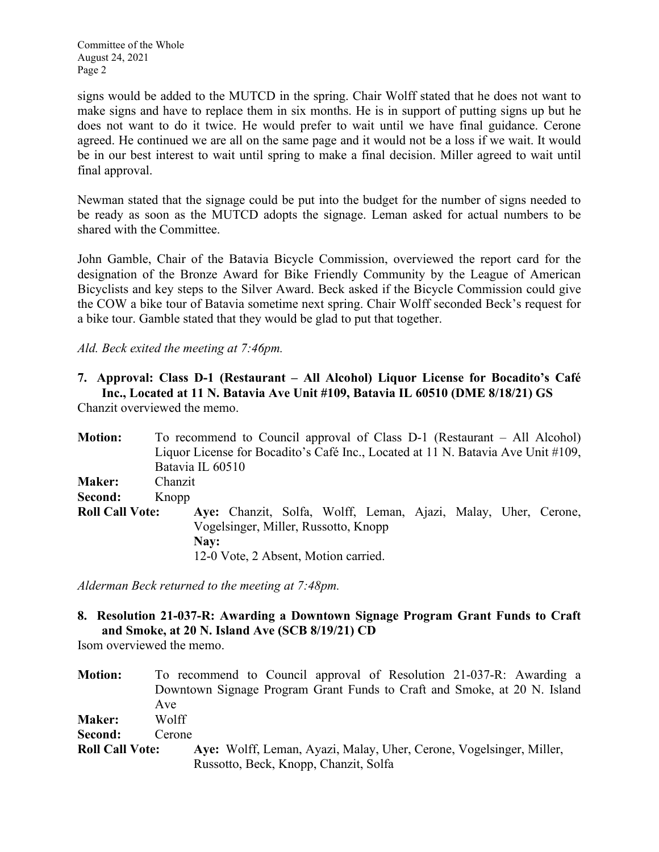signs would be added to the MUTCD in the spring. Chair Wolff stated that he does not want to make signs and have to replace them in six months. He is in support of putting signs up but he does not want to do it twice. He would prefer to wait until we have final guidance. Cerone agreed. He continued we are all on the same page and it would not be a loss if we wait. It would be in our best interest to wait until spring to make a final decision. Miller agreed to wait until final approval.

Newman stated that the signage could be put into the budget for the number of signs needed to be ready as soon as the MUTCD adopts the signage. Leman asked for actual numbers to be shared with the Committee.

John Gamble, Chair of the Batavia Bicycle Commission, overviewed the report card for the designation of the Bronze Award for Bike Friendly Community by the League of American Bicyclists and key steps to the Silver Award. Beck asked if the Bicycle Commission could give the COW a bike tour of Batavia sometime next spring. Chair Wolff seconded Beck's request for a bike tour. Gamble stated that they would be glad to put that together.

*Ald. Beck exited the meeting at 7:46pm.*

#### **7. Approval: Class D-1 (Restaurant – All Alcohol) Liquor License for Bocadito's Café Inc., Located at 11 N. Batavia Ave Unit #109, Batavia IL 60510 (DME 8/18/21) GS**

Chanzit overviewed the memo.

| <b>Motion:</b>         |         |                  | To recommend to Council approval of Class D-1 (Restaurant – All Alcohol)         |  |  |  |  |
|------------------------|---------|------------------|----------------------------------------------------------------------------------|--|--|--|--|
|                        |         |                  | Liquor License for Bocadito's Café Inc., Located at 11 N. Batavia Ave Unit #109, |  |  |  |  |
|                        |         | Batavia IL 60510 |                                                                                  |  |  |  |  |
| <b>Maker:</b>          | Chanzit |                  |                                                                                  |  |  |  |  |
| Second:                | Knopp   |                  |                                                                                  |  |  |  |  |
| <b>Roll Call Vote:</b> |         |                  | Aye: Chanzit, Solfa, Wolff, Leman, Ajazi, Malay, Uher, Cerone,                   |  |  |  |  |
|                        |         |                  | Vogelsinger, Miller, Russotto, Knopp                                             |  |  |  |  |
|                        |         | Nay:             |                                                                                  |  |  |  |  |
|                        |         |                  | 12-0 Vote, 2 Absent, Motion carried.                                             |  |  |  |  |

*Alderman Beck returned to the meeting at 7:48pm.*

# **8. Resolution 21-037-R: Awarding a Downtown Signage Program Grant Funds to Craft and Smoke, at 20 N. Island Ave (SCB 8/19/21) CD**

Isom overviewed the memo.

| <b>Motion:</b>         | To recommend to Council approval of Resolution 21-037-R: Awarding a      |
|------------------------|--------------------------------------------------------------------------|
|                        | Downtown Signage Program Grant Funds to Craft and Smoke, at 20 N. Island |
|                        | Ave                                                                      |
| <b>Maker:</b>          | Wolff                                                                    |
| Second:                | Cerone                                                                   |
| <b>Roll Call Vote:</b> | Aye: Wolff, Leman, Ayazi, Malay, Uher, Cerone, Vogelsinger, Miller,      |
|                        | Russotto, Beck, Knopp, Chanzit, Solfa                                    |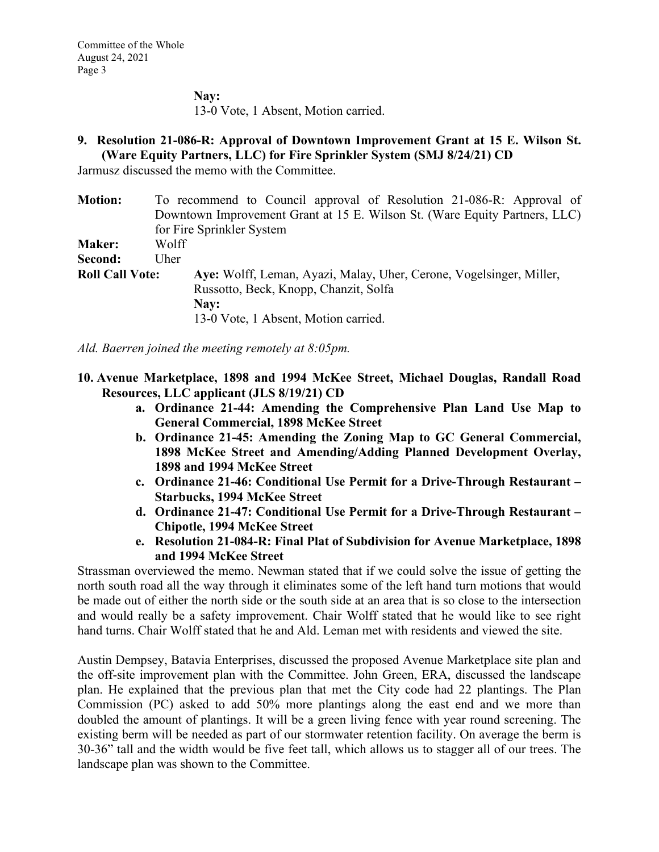**Nay:**  13-0 Vote, 1 Absent, Motion carried.

# **9. Resolution 21-086-R: Approval of Downtown Improvement Grant at 15 E. Wilson St. (Ware Equity Partners, LLC) for Fire Sprinkler System (SMJ 8/24/21) CD**

Jarmusz discussed the memo with the Committee.

| <b>Motion:</b>         |       | To recommend to Council approval of Resolution 21-086-R: Approval of       |
|------------------------|-------|----------------------------------------------------------------------------|
|                        |       | Downtown Improvement Grant at 15 E. Wilson St. (Ware Equity Partners, LLC) |
|                        |       | for Fire Sprinkler System                                                  |
| <b>Maker:</b>          | Wolff |                                                                            |
| Second:                | Uher  |                                                                            |
| <b>Roll Call Vote:</b> |       | Aye: Wolff, Leman, Ayazi, Malay, Uher, Cerone, Vogelsinger, Miller,        |
|                        |       | Russotto, Beck, Knopp, Chanzit, Solfa                                      |
|                        |       | Nay:                                                                       |
|                        |       | 13-0 Vote, 1 Absent, Motion carried.                                       |
|                        |       |                                                                            |

*Ald. Baerren joined the meeting remotely at 8:05pm.*

- **10. Avenue Marketplace, 1898 and 1994 McKee Street, Michael Douglas, Randall Road Resources, LLC applicant (JLS 8/19/21) CD**
	- **a. Ordinance 21-44: Amending the Comprehensive Plan Land Use Map to General Commercial, 1898 McKee Street**
	- **b. Ordinance 21-45: Amending the Zoning Map to GC General Commercial, 1898 McKee Street and Amending/Adding Planned Development Overlay, 1898 and 1994 McKee Street**
	- **c. Ordinance 21-46: Conditional Use Permit for a Drive-Through Restaurant – Starbucks, 1994 McKee Street**
	- **d. Ordinance 21-47: Conditional Use Permit for a Drive-Through Restaurant – Chipotle, 1994 McKee Street**
	- **e. Resolution 21-084-R: Final Plat of Subdivision for Avenue Marketplace, 1898 and 1994 McKee Street**

Strassman overviewed the memo. Newman stated that if we could solve the issue of getting the north south road all the way through it eliminates some of the left hand turn motions that would be made out of either the north side or the south side at an area that is so close to the intersection and would really be a safety improvement. Chair Wolff stated that he would like to see right hand turns. Chair Wolff stated that he and Ald. Leman met with residents and viewed the site.

Austin Dempsey, Batavia Enterprises, discussed the proposed Avenue Marketplace site plan and the off-site improvement plan with the Committee. John Green, ERA, discussed the landscape plan. He explained that the previous plan that met the City code had 22 plantings. The Plan Commission (PC) asked to add 50% more plantings along the east end and we more than doubled the amount of plantings. It will be a green living fence with year round screening. The existing berm will be needed as part of our stormwater retention facility. On average the berm is 30-36" tall and the width would be five feet tall, which allows us to stagger all of our trees. The landscape plan was shown to the Committee.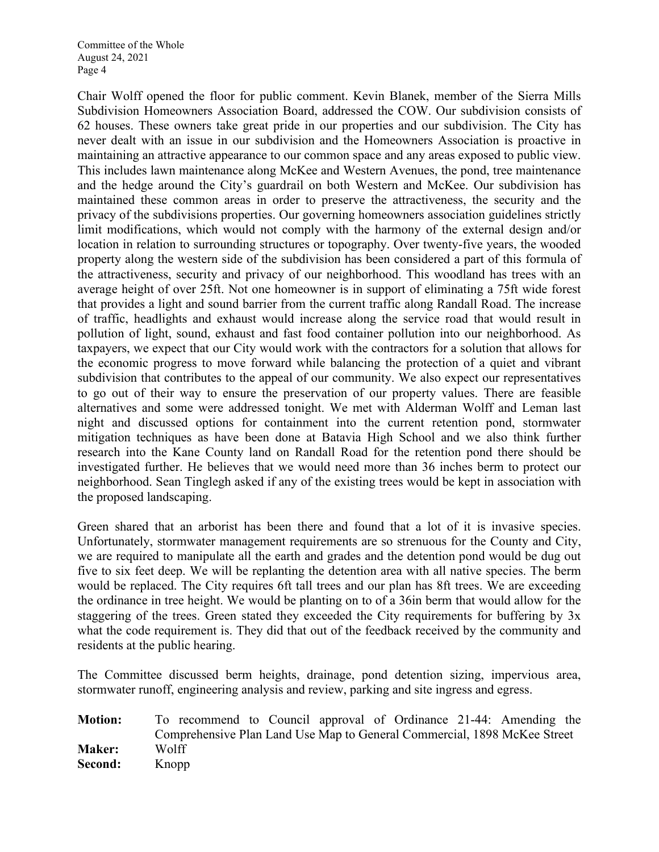Chair Wolff opened the floor for public comment. Kevin Blanek, member of the Sierra Mills Subdivision Homeowners Association Board, addressed the COW. Our subdivision consists of 62 houses. These owners take great pride in our properties and our subdivision. The City has never dealt with an issue in our subdivision and the Homeowners Association is proactive in maintaining an attractive appearance to our common space and any areas exposed to public view. This includes lawn maintenance along McKee and Western Avenues, the pond, tree maintenance and the hedge around the City's guardrail on both Western and McKee. Our subdivision has maintained these common areas in order to preserve the attractiveness, the security and the privacy of the subdivisions properties. Our governing homeowners association guidelines strictly limit modifications, which would not comply with the harmony of the external design and/or location in relation to surrounding structures or topography. Over twenty-five years, the wooded property along the western side of the subdivision has been considered a part of this formula of the attractiveness, security and privacy of our neighborhood. This woodland has trees with an average height of over 25ft. Not one homeowner is in support of eliminating a 75ft wide forest that provides a light and sound barrier from the current traffic along Randall Road. The increase of traffic, headlights and exhaust would increase along the service road that would result in pollution of light, sound, exhaust and fast food container pollution into our neighborhood. As taxpayers, we expect that our City would work with the contractors for a solution that allows for the economic progress to move forward while balancing the protection of a quiet and vibrant subdivision that contributes to the appeal of our community. We also expect our representatives to go out of their way to ensure the preservation of our property values. There are feasible alternatives and some were addressed tonight. We met with Alderman Wolff and Leman last night and discussed options for containment into the current retention pond, stormwater mitigation techniques as have been done at Batavia High School and we also think further research into the Kane County land on Randall Road for the retention pond there should be investigated further. He believes that we would need more than 36 inches berm to protect our neighborhood. Sean Tinglegh asked if any of the existing trees would be kept in association with the proposed landscaping.

Green shared that an arborist has been there and found that a lot of it is invasive species. Unfortunately, stormwater management requirements are so strenuous for the County and City, we are required to manipulate all the earth and grades and the detention pond would be dug out five to six feet deep. We will be replanting the detention area with all native species. The berm would be replaced. The City requires 6ft tall trees and our plan has 8ft trees. We are exceeding the ordinance in tree height. We would be planting on to of a 36in berm that would allow for the staggering of the trees. Green stated they exceeded the City requirements for buffering by 3x what the code requirement is. They did that out of the feedback received by the community and residents at the public hearing.

The Committee discussed berm heights, drainage, pond detention sizing, impervious area, stormwater runoff, engineering analysis and review, parking and site ingress and egress.

**Motion:** To recommend to Council approval of Ordinance 21-44: Amending the Comprehensive Plan Land Use Map to General Commercial, 1898 McKee Street **Maker:** Wolff **Second:** Knopp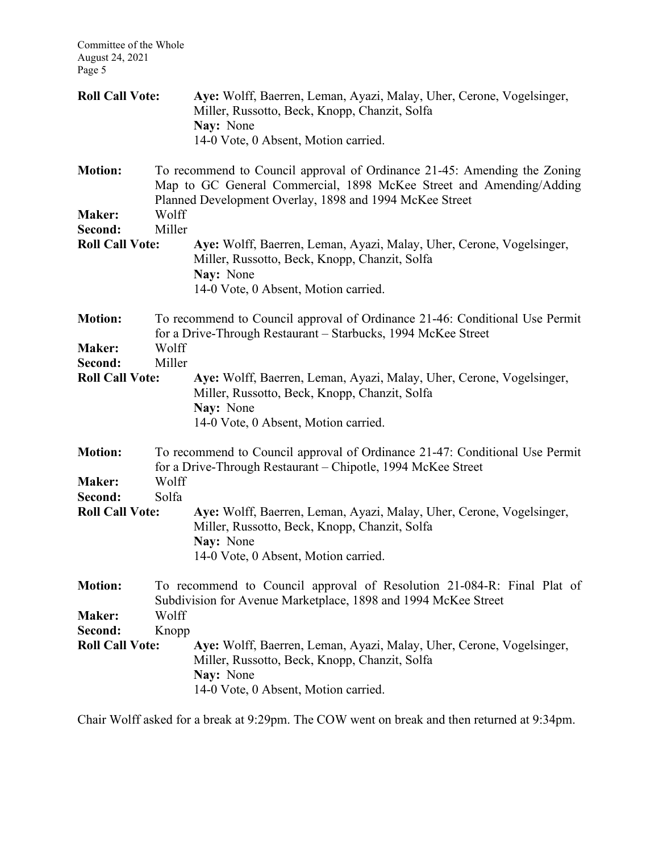| <b>Roll Call Vote:</b>   |                | Aye: Wolff, Baerren, Leman, Ayazi, Malay, Uher, Cerone, Vogelsinger,<br>Miller, Russotto, Beck, Knopp, Chanzit, Solfa<br>Nay: None                                                                         |  |  |  |  |  |  |
|--------------------------|----------------|------------------------------------------------------------------------------------------------------------------------------------------------------------------------------------------------------------|--|--|--|--|--|--|
|                          |                | 14-0 Vote, 0 Absent, Motion carried.                                                                                                                                                                       |  |  |  |  |  |  |
| <b>Motion:</b>           |                | To recommend to Council approval of Ordinance 21-45: Amending the Zoning<br>Map to GC General Commercial, 1898 McKee Street and Amending/Adding<br>Planned Development Overlay, 1898 and 1994 McKee Street |  |  |  |  |  |  |
| <b>Maker:</b>            | Wolff          |                                                                                                                                                                                                            |  |  |  |  |  |  |
| Second:                  | Miller         |                                                                                                                                                                                                            |  |  |  |  |  |  |
| <b>Roll Call Vote:</b>   |                | Aye: Wolff, Baerren, Leman, Ayazi, Malay, Uher, Cerone, Vogelsinger,<br>Miller, Russotto, Beck, Knopp, Chanzit, Solfa<br>Nay: None<br>14-0 Vote, 0 Absent, Motion carried.                                 |  |  |  |  |  |  |
|                          |                |                                                                                                                                                                                                            |  |  |  |  |  |  |
| <b>Motion:</b>           |                | To recommend to Council approval of Ordinance 21-46: Conditional Use Permit<br>for a Drive-Through Restaurant - Starbucks, 1994 McKee Street                                                               |  |  |  |  |  |  |
| <b>Maker:</b>            | Wolff          |                                                                                                                                                                                                            |  |  |  |  |  |  |
| Second:                  | Miller         |                                                                                                                                                                                                            |  |  |  |  |  |  |
| <b>Roll Call Vote:</b>   |                | Aye: Wolff, Baerren, Leman, Ayazi, Malay, Uher, Cerone, Vogelsinger,<br>Miller, Russotto, Beck, Knopp, Chanzit, Solfa<br>Nay: None<br>14-0 Vote, 0 Absent, Motion carried.                                 |  |  |  |  |  |  |
| <b>Motion:</b>           |                | To recommend to Council approval of Ordinance 21-47: Conditional Use Permit<br>for a Drive-Through Restaurant – Chipotle, 1994 McKee Street                                                                |  |  |  |  |  |  |
| <b>Maker:</b><br>Second: | Wolff<br>Solfa |                                                                                                                                                                                                            |  |  |  |  |  |  |
| <b>Roll Call Vote:</b>   |                | Aye: Wolff, Baerren, Leman, Ayazi, Malay, Uher, Cerone, Vogelsinger,<br>Miller, Russotto, Beck, Knopp, Chanzit, Solfa<br>Nay: None<br>14-0 Vote, 0 Absent, Motion carried.                                 |  |  |  |  |  |  |
| <b>Motion:</b>           |                | To recommend to Council approval of Resolution 21-084-R: Final Plat of<br>Subdivision for Avenue Marketplace, 1898 and 1994 McKee Street                                                                   |  |  |  |  |  |  |
| <b>Maker:</b>            | Wolff          |                                                                                                                                                                                                            |  |  |  |  |  |  |
| Second:                  | Knopp          |                                                                                                                                                                                                            |  |  |  |  |  |  |
| <b>Roll Call Vote:</b>   |                | Aye: Wolff, Baerren, Leman, Ayazi, Malay, Uher, Cerone, Vogelsinger,<br>Miller, Russotto, Beck, Knopp, Chanzit, Solfa<br>Nay: None<br>14-0 Vote, 0 Absent, Motion carried.                                 |  |  |  |  |  |  |
|                          |                |                                                                                                                                                                                                            |  |  |  |  |  |  |

Chair Wolff asked for a break at 9:29pm. The COW went on break and then returned at 9:34pm.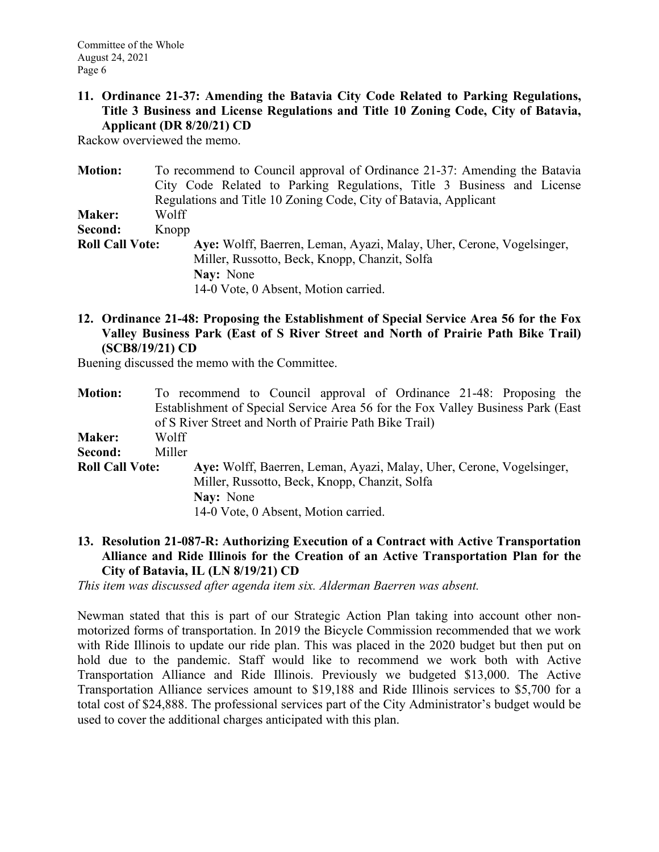#### **11. Ordinance 21-37: Amending the Batavia City Code Related to Parking Regulations, Title 3 Business and License Regulations and Title 10 Zoning Code, City of Batavia, Applicant (DR 8/20/21) CD**

Rackow overviewed the memo.

| <b>Motion:</b>         |       | To recommend to Council approval of Ordinance 21-37: Amending the Batavia |
|------------------------|-------|---------------------------------------------------------------------------|
|                        |       | City Code Related to Parking Regulations, Title 3 Business and License    |
|                        |       | Regulations and Title 10 Zoning Code, City of Batavia, Applicant          |
| <b>Maker:</b>          | Wolff |                                                                           |
| Second:                | Knopp |                                                                           |
| <b>Roll Call Vote:</b> |       | Aye: Wolff, Baerren, Leman, Ayazi, Malay, Uher, Cerone, Vogelsinger,      |
|                        |       | Miller, Russotto, Beck, Knopp, Chanzit, Solfa                             |
|                        |       | Nay: None                                                                 |
|                        |       | 14-0 Vote, 0 Absent, Motion carried.                                      |

**12. Ordinance 21-48: Proposing the Establishment of Special Service Area 56 for the Fox Valley Business Park (East of S River Street and North of Prairie Path Bike Trail) (SCB8/19/21) CD**

Buening discussed the memo with the Committee.

| <b>Motion:</b>         |        | To recommend to Council approval of Ordinance 21-48: Proposing the              |  |                                                                      |  |  |
|------------------------|--------|---------------------------------------------------------------------------------|--|----------------------------------------------------------------------|--|--|
|                        |        | Establishment of Special Service Area 56 for the Fox Valley Business Park (East |  |                                                                      |  |  |
|                        |        | of S River Street and North of Prairie Path Bike Trail)                         |  |                                                                      |  |  |
| <b>Maker:</b>          | Wolff  |                                                                                 |  |                                                                      |  |  |
| Second:                | Miller |                                                                                 |  |                                                                      |  |  |
| <b>Roll Call Vote:</b> |        |                                                                                 |  | Aye: Wolff, Baerren, Leman, Ayazi, Malay, Uher, Cerone, Vogelsinger, |  |  |
|                        |        | Miller, Russotto, Beck, Knopp, Chanzit, Solfa                                   |  |                                                                      |  |  |
|                        |        | Nay: None                                                                       |  |                                                                      |  |  |
|                        |        | 14-0 Vote, 0 Absent, Motion carried.                                            |  |                                                                      |  |  |

**13. Resolution 21-087-R: Authorizing Execution of a Contract with Active Transportation Alliance and Ride Illinois for the Creation of an Active Transportation Plan for the City of Batavia, IL (LN 8/19/21) CD**

*This item was discussed after agenda item six. Alderman Baerren was absent.*

Newman stated that this is part of our Strategic Action Plan taking into account other nonmotorized forms of transportation. In 2019 the Bicycle Commission recommended that we work with Ride Illinois to update our ride plan. This was placed in the 2020 budget but then put on hold due to the pandemic. Staff would like to recommend we work both with Active Transportation Alliance and Ride Illinois. Previously we budgeted \$13,000. The Active Transportation Alliance services amount to \$19,188 and Ride Illinois services to \$5,700 for a total cost of \$24,888. The professional services part of the City Administrator's budget would be used to cover the additional charges anticipated with this plan.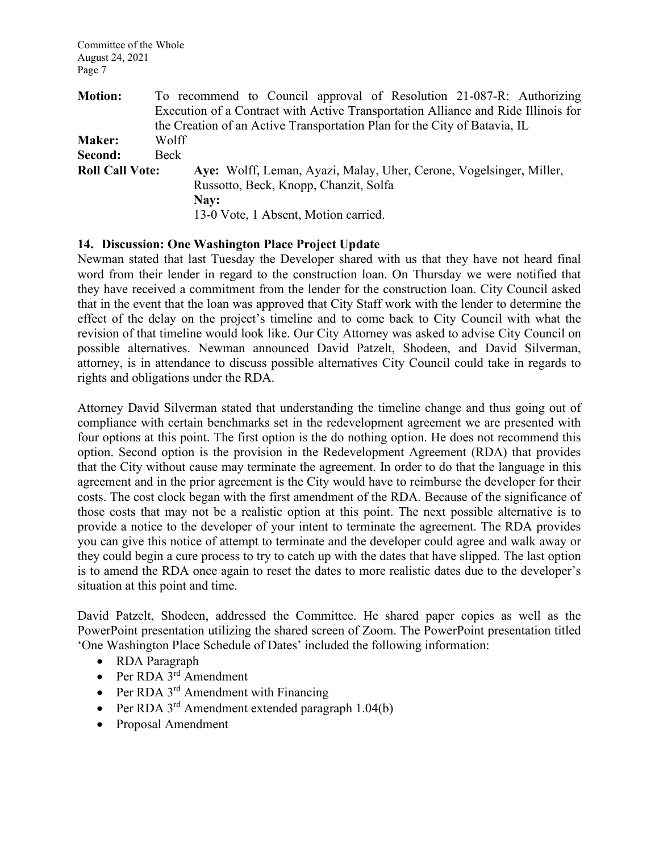| <b>Motion:</b>         |       |                                                                           |  |  | To recommend to Council approval of Resolution 21-087-R: Authorizing              |
|------------------------|-------|---------------------------------------------------------------------------|--|--|-----------------------------------------------------------------------------------|
|                        |       |                                                                           |  |  | Execution of a Contract with Active Transportation Alliance and Ride Illinois for |
|                        |       | the Creation of an Active Transportation Plan for the City of Batavia, IL |  |  |                                                                                   |
| <b>Maker:</b>          | Wolff |                                                                           |  |  |                                                                                   |
| Second:                | Beck  |                                                                           |  |  |                                                                                   |
| <b>Roll Call Vote:</b> |       | Aye: Wolff, Leman, Ayazi, Malay, Uher, Cerone, Vogelsinger, Miller,       |  |  |                                                                                   |
|                        |       | Russotto, Beck, Knopp, Chanzit, Solfa                                     |  |  |                                                                                   |
|                        |       | Nay:                                                                      |  |  |                                                                                   |
|                        |       | 13-0 Vote, 1 Absent, Motion carried.                                      |  |  |                                                                                   |

#### **14. Discussion: One Washington Place Project Update**

Newman stated that last Tuesday the Developer shared with us that they have not heard final word from their lender in regard to the construction loan. On Thursday we were notified that they have received a commitment from the lender for the construction loan. City Council asked that in the event that the loan was approved that City Staff work with the lender to determine the effect of the delay on the project's timeline and to come back to City Council with what the revision of that timeline would look like. Our City Attorney was asked to advise City Council on possible alternatives. Newman announced David Patzelt, Shodeen, and David Silverman, attorney, is in attendance to discuss possible alternatives City Council could take in regards to rights and obligations under the RDA.

Attorney David Silverman stated that understanding the timeline change and thus going out of compliance with certain benchmarks set in the redevelopment agreement we are presented with four options at this point. The first option is the do nothing option. He does not recommend this option. Second option is the provision in the Redevelopment Agreement (RDA) that provides that the City without cause may terminate the agreement. In order to do that the language in this agreement and in the prior agreement is the City would have to reimburse the developer for their costs. The cost clock began with the first amendment of the RDA. Because of the significance of those costs that may not be a realistic option at this point. The next possible alternative is to provide a notice to the developer of your intent to terminate the agreement. The RDA provides you can give this notice of attempt to terminate and the developer could agree and walk away or they could begin a cure process to try to catch up with the dates that have slipped. The last option is to amend the RDA once again to reset the dates to more realistic dates due to the developer's situation at this point and time.

David Patzelt, Shodeen, addressed the Committee. He shared paper copies as well as the PowerPoint presentation utilizing the shared screen of Zoom. The PowerPoint presentation titled 'One Washington Place Schedule of Dates' included the following information:

- RDA Paragraph
- Per RDA 3<sup>rd</sup> Amendment
- Per RDA  $3<sup>rd</sup>$  Amendment with Financing
- Per RDA  $3^{rd}$  Amendment extended paragraph 1.04(b)
- Proposal Amendment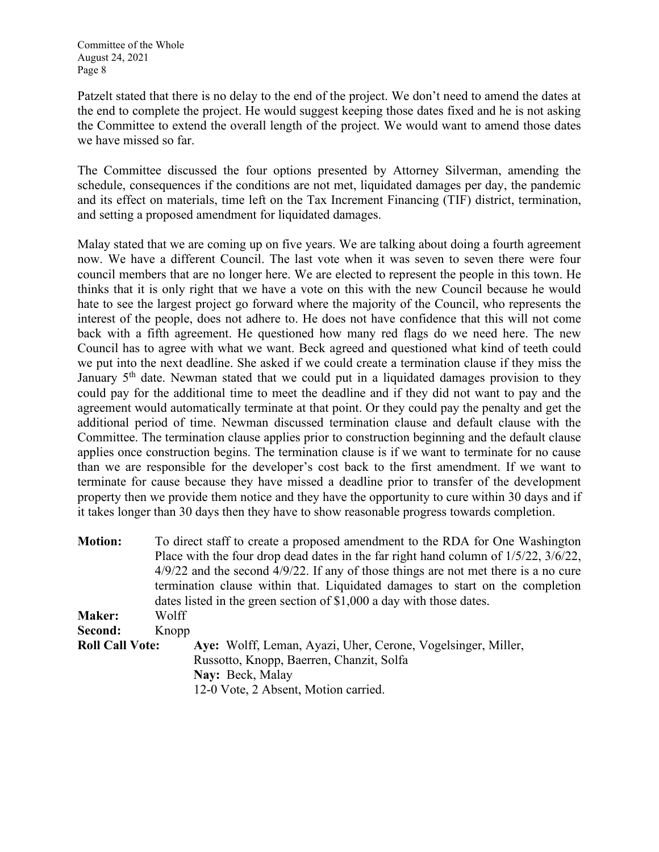Patzelt stated that there is no delay to the end of the project. We don't need to amend the dates at the end to complete the project. He would suggest keeping those dates fixed and he is not asking the Committee to extend the overall length of the project. We would want to amend those dates we have missed so far.

The Committee discussed the four options presented by Attorney Silverman, amending the schedule, consequences if the conditions are not met, liquidated damages per day, the pandemic and its effect on materials, time left on the Tax Increment Financing (TIF) district, termination, and setting a proposed amendment for liquidated damages.

Malay stated that we are coming up on five years. We are talking about doing a fourth agreement now. We have a different Council. The last vote when it was seven to seven there were four council members that are no longer here. We are elected to represent the people in this town. He thinks that it is only right that we have a vote on this with the new Council because he would hate to see the largest project go forward where the majority of the Council, who represents the interest of the people, does not adhere to. He does not have confidence that this will not come back with a fifth agreement. He questioned how many red flags do we need here. The new Council has to agree with what we want. Beck agreed and questioned what kind of teeth could we put into the next deadline. She asked if we could create a termination clause if they miss the January  $5<sup>th</sup>$  date. Newman stated that we could put in a liquidated damages provision to they could pay for the additional time to meet the deadline and if they did not want to pay and the agreement would automatically terminate at that point. Or they could pay the penalty and get the additional period of time. Newman discussed termination clause and default clause with the Committee. The termination clause applies prior to construction beginning and the default clause applies once construction begins. The termination clause is if we want to terminate for no cause than we are responsible for the developer's cost back to the first amendment. If we want to terminate for cause because they have missed a deadline prior to transfer of the development property then we provide them notice and they have the opportunity to cure within 30 days and if it takes longer than 30 days then they have to show reasonable progress towards completion.

| <b>Motion:</b>         | To direct staff to create a proposed amendment to the RDA for One Washington              |  |  |  |  |  |  |
|------------------------|-------------------------------------------------------------------------------------------|--|--|--|--|--|--|
|                        | Place with the four drop dead dates in the far right hand column of $1/5/22$ , $3/6/22$ , |  |  |  |  |  |  |
|                        | $4/9/22$ and the second $4/9/22$ . If any of those things are not met there is a no cure  |  |  |  |  |  |  |
|                        | termination clause within that. Liquidated damages to start on the completion             |  |  |  |  |  |  |
|                        | dates listed in the green section of \$1,000 a day with those dates.                      |  |  |  |  |  |  |
| <b>Maker:</b>          | Wolff                                                                                     |  |  |  |  |  |  |
| Second:                | Knopp                                                                                     |  |  |  |  |  |  |
| <b>Roll Call Vote:</b> | Aye: Wolff, Leman, Ayazi, Uher, Cerone, Vogelsinger, Miller,                              |  |  |  |  |  |  |
|                        | Russotto, Knopp, Baerren, Chanzit, Solfa                                                  |  |  |  |  |  |  |
|                        | Nay: Beck, Malay                                                                          |  |  |  |  |  |  |
|                        | 12-0 Vote, 2 Absent, Motion carried.                                                      |  |  |  |  |  |  |